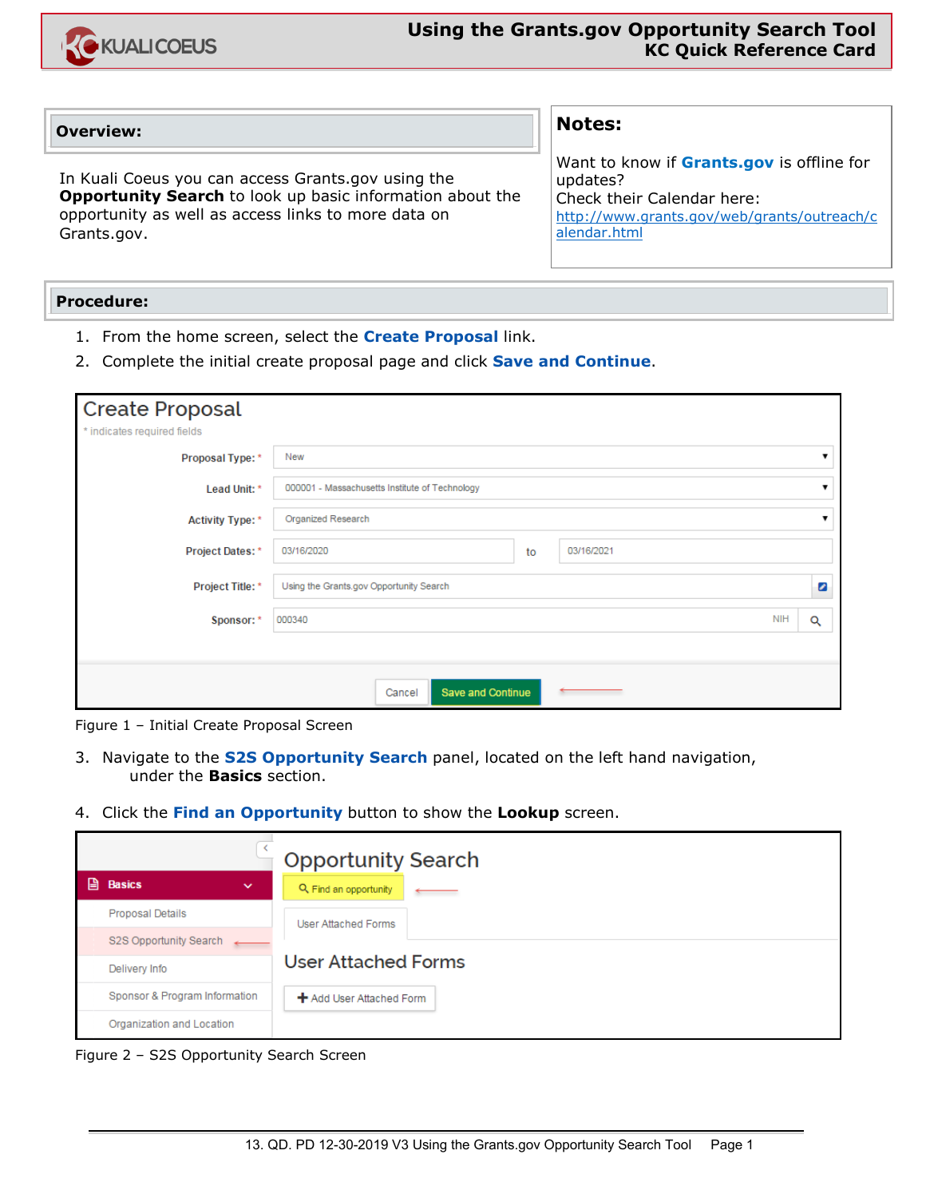

### **Overview:**

In Kuali Coeus you can access Grants.gov using the **Opportunity Search** to look up basic information about the opportunity as well as access links to more data on Grants.gov.

# **Notes:**

Want to know if **Grants.gov** is offline for updates? Check their Calendar here: [http://www.grants.gov/web/grants/outreach/c](http://www.grants.gov/web/grants/outreach/calendar.html) [alendar.html](http://www.grants.gov/web/grants/outreach/calendar.html)

### **Procedure:**

- 1. From the home screen, select the **Create Proposal** link.
- 2. Complete the initial create proposal page and click **Save and Continue**.

| <b>Create Proposal</b><br>* indicates required fields |                                                |            |   |                 |  |  |
|-------------------------------------------------------|------------------------------------------------|------------|---|-----------------|--|--|
| Proposal Type: *                                      | New                                            |            |   |                 |  |  |
| Lead Unit: *                                          | 000001 - Massachusetts Institute of Technology |            |   |                 |  |  |
| <b>Activity Type: *</b>                               | <b>Organized Research</b>                      |            |   |                 |  |  |
| <b>Project Dates: *</b>                               | 03/16/2020                                     | 03/16/2021 |   |                 |  |  |
| Project Title: *                                      | Using the Grants.gov Opportunity Search        |            | ø |                 |  |  |
| Sponsor: *                                            | 000340                                         |            |   | <b>NIH</b><br>Q |  |  |
|                                                       |                                                |            |   |                 |  |  |
|                                                       | Save and Continue<br>Cancel                    |            |   |                 |  |  |

Figure 1 – Initial Create Proposal Screen

- 3. Navigate to the **S2S Opportunity Search** panel, located on the left hand navigation, under the **Basics** section.
- 4. Click the **Find an Opportunity** button to show the **Lookup** screen.

|   |                               | <b>Opportunity Search</b>       |  |  |  |  |
|---|-------------------------------|---------------------------------|--|--|--|--|
| 阊 | <b>Basics</b><br>$\checkmark$ | Q Find an opportunity           |  |  |  |  |
|   | <b>Proposal Details</b>       | User Attached Forms             |  |  |  |  |
|   | S2S Opportunity Search        |                                 |  |  |  |  |
|   | Delivery Info                 | <b>User Attached Forms</b>      |  |  |  |  |
|   | Sponsor & Program Information | <b>+</b> Add User Attached Form |  |  |  |  |
|   | Organization and Location     |                                 |  |  |  |  |

Figure 2 – S2S Opportunity Search Screen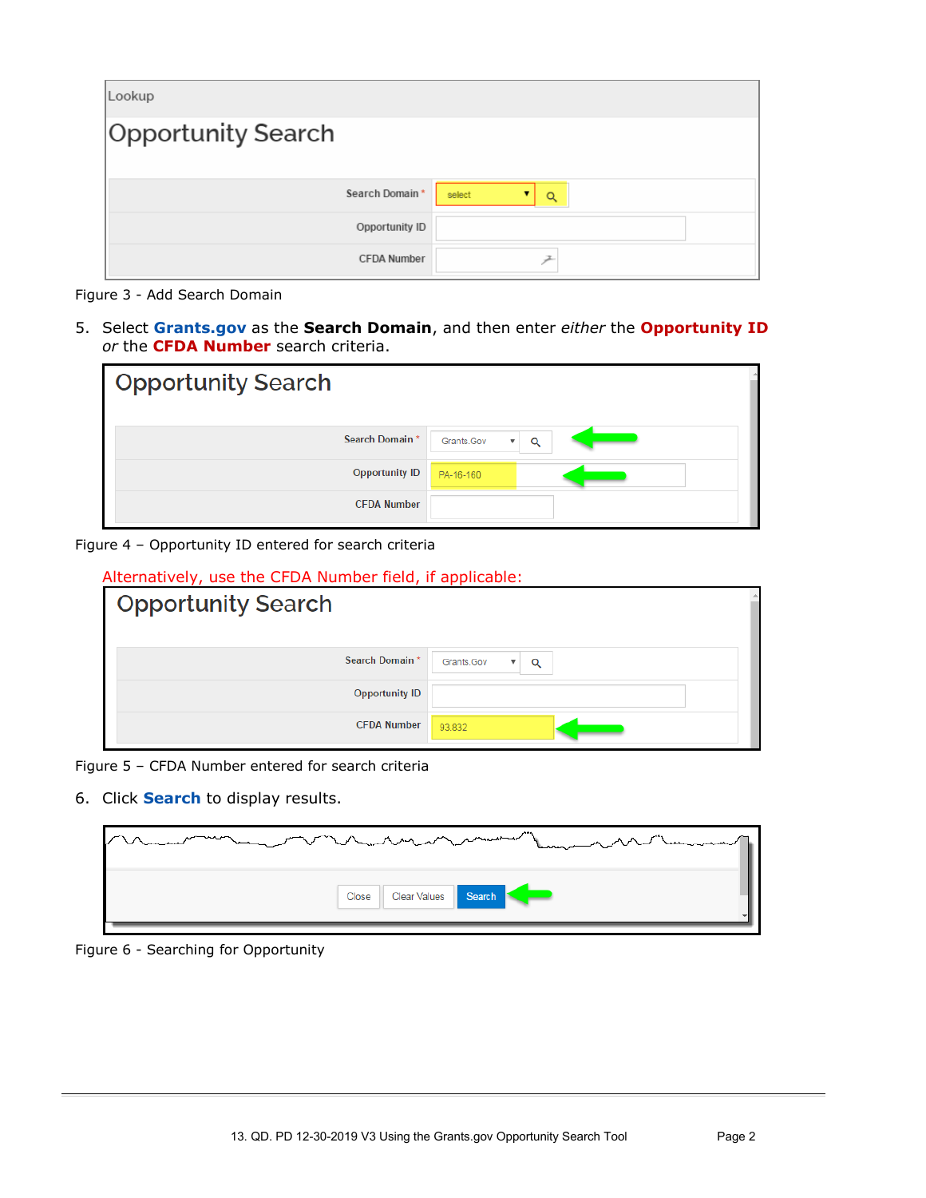| Lookup                    |             |
|---------------------------|-------------|
| <b>Opportunity Search</b> |             |
|                           |             |
| Search Domain*            | select<br>Q |
| Opportunity ID            |             |
| <b>CFDA Number</b>        |             |

Figure 3 - Add Search Domain

5. Select **Grants.gov** as the **Search Domain**, and then enter *either* the **Opportunity ID** *or* the **CFDA Number** search criteria.

| <b>Opportunity Search</b> |                                 |
|---------------------------|---------------------------------|
| Search Domain*            | Q<br>Grants.Gov<br>$\mathbf{v}$ |
| <b>Opportunity ID</b>     | PA-16-160                       |
| <b>CFDA Number</b>        |                                 |

Figure 4 – Opportunity ID entered for search criteria

| Alternatively, use the CFDA Number field, if applicable: |                                            |  |  |  |  |  |
|----------------------------------------------------------|--------------------------------------------|--|--|--|--|--|
| <b>Opportunity Search</b>                                |                                            |  |  |  |  |  |
| Search Domain*                                           | Grants.Gov<br>Q<br>$\overline{\mathbf{v}}$ |  |  |  |  |  |
| <b>Opportunity ID</b>                                    |                                            |  |  |  |  |  |
| <b>CFDA Number</b>                                       | 93.832                                     |  |  |  |  |  |

Figure 5 – CFDA Number entered for search criteria

6. Click **Search** to display results.

| manufacturing | men man men and the same of the contract of the same state of the same of the same of the same of the same of the same of the same of the same of the same of the same of the same of the same of the same of the same of the |
|---------------|-------------------------------------------------------------------------------------------------------------------------------------------------------------------------------------------------------------------------------|
|               | Close Clear Values Search                                                                                                                                                                                                     |

Figure 6 - Searching for Opportunity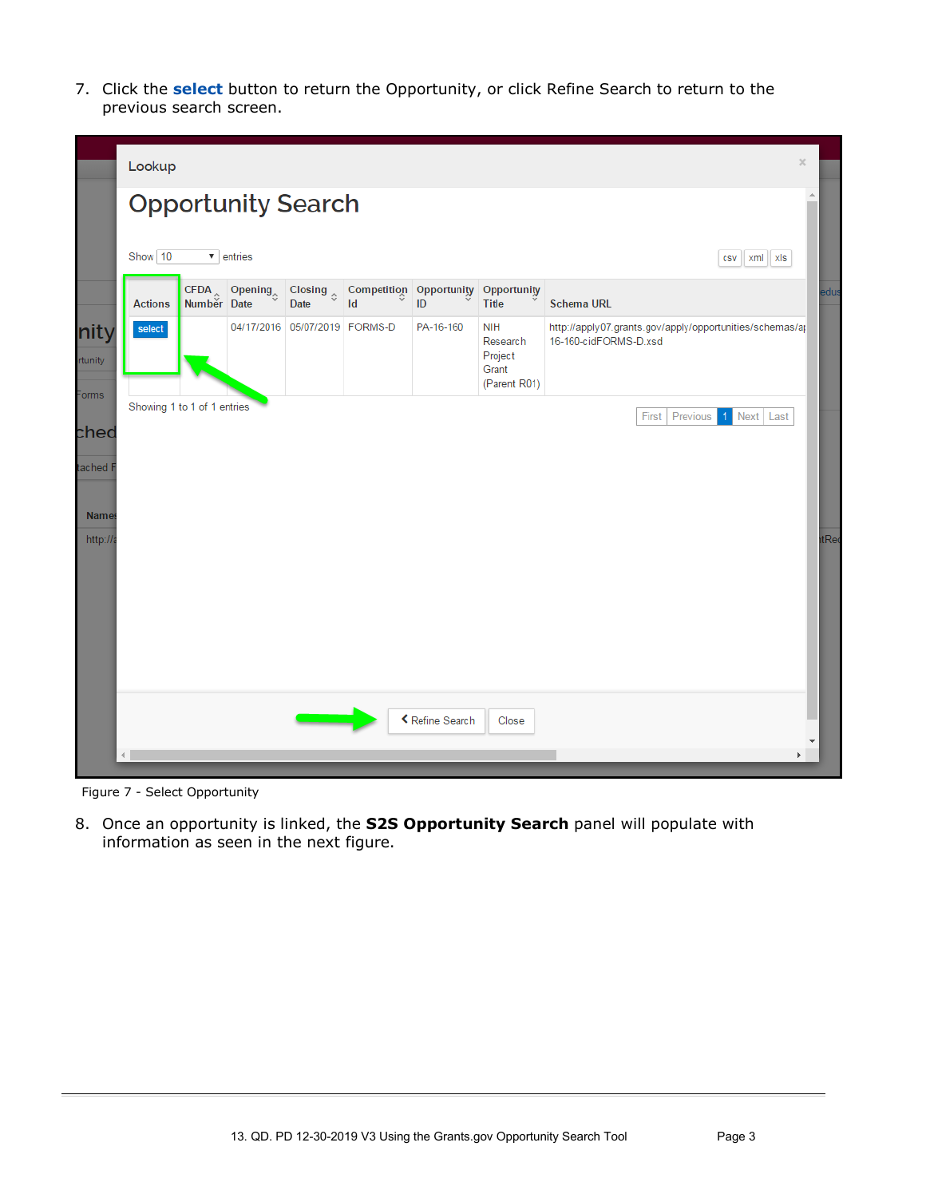7. Click the **select** button to return the Opportunity, or click Refine Search to return to the previous search screen.

|                           | $\boldsymbol{\times}$<br>Lookup                                  |  |                                 |                                     |    |                               |                                                            |                                                                                   |      |
|---------------------------|------------------------------------------------------------------|--|---------------------------------|-------------------------------------|----|-------------------------------|------------------------------------------------------------|-----------------------------------------------------------------------------------|------|
|                           | $\triangle$<br><b>Opportunity Search</b>                         |  |                                 |                                     |    |                               |                                                            |                                                                                   |      |
|                           | Show $10$<br>$\overline{\phantom{a}}$ entries<br>csv   xml   xls |  |                                 |                                     |    |                               |                                                            |                                                                                   |      |
|                           | <b>Actions</b>                                                   |  | CFDA Opening $\sim$ Number Date | Closing $\hat{\mathcal{L}}$<br>Date | Id | Competition Opportunity<br>ID | Opportunity<br><b>Title</b>                                | <b>Schema URL</b>                                                                 | edus |
| nity<br>rtunity           | select                                                           |  |                                 | 04/17/2016 05/07/2019 FORMS-D       |    | PA-16-160                     | <b>NIH</b><br>Research<br>Project<br>Grant<br>(Parent R01) | http://apply07.grants.gov/apply/opportunities/schemas/ap<br>16-160-cidFORMS-D.xsd |      |
| Forms<br>ched<br>tached F | Showing 1 to 1 of 1 entries                                      |  |                                 |                                     |    |                               |                                                            | Previous<br>1 Next Last<br>First                                                  |      |
| <b>Names</b>              |                                                                  |  |                                 |                                     |    |                               |                                                            |                                                                                   |      |
| http://a                  |                                                                  |  |                                 |                                     |    |                               |                                                            |                                                                                   | tRed |
|                           | K Refine Search<br>Close                                         |  |                                 |                                     |    |                               |                                                            |                                                                                   |      |

Figure 7 - Select Opportunity

8. Once an opportunity is linked, the **S2S Opportunity Search** panel will populate with information as seen in the next figure.